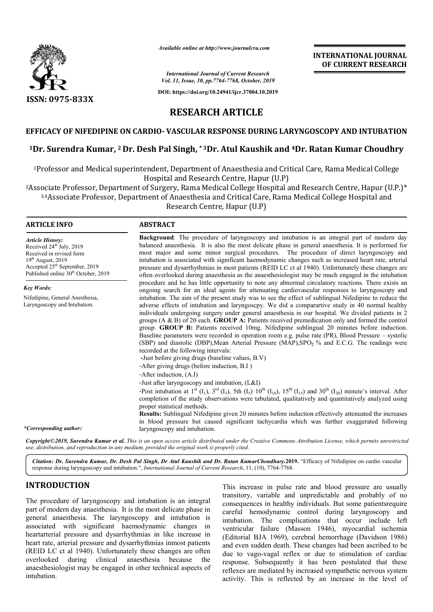

*Available online at http://www.journalcra.com*

*International Journal of Current Research Vol. 11, Issue, 10, pp.7764-7768, October, 2019*

**DOI: https://doi.org/10.24941/ijcr.37004.10.2019**



**RESEARCH ARTICLE**

## **EFFICACY OF NIFEDIPINE ON CARDIO CARDIO- VASCULAR RESPONSE DURING LARYNGOSCOPY AND INTUBATION**

## $^1$ Dr. Surendra Kumar, <sup>2</sup> Dr. Desh Pal Singh,  $^*$ 3Dr. Atul Kaushik and  $^4$ Dr. Ratan Kumar Choudhry

1Professor and Medical superintendent, Department of Anaesthesia and Critical Care, Rama Medical College Hospital and Research Centre, Hapur (U.P)

2Associate Professor, Department of Surgery, Rama Medical College Hospital and Research Centre, Hapur (U.P.)\* 3,4Associate Professor, Department of Anaesthesia and Critical Care, Rama Medical College Hospital and Professor and Medical superintendent, Department of Anaesthesia and Critical Care, Rama Medical College<br>Hospital and Research Centre, Hapur (U.P)<br>sociate Professor, Department of Surgery, Rama Medical College Hospital and

#### **ARTICLE INFO ABSTRACT**

*Article History:* Received 24<sup>th</sup> July, 2019 Received in revised form 19th August, 2019 Accepted 25<sup>th</sup> September, 2019 Published online 30<sup>th</sup> October, 2019

*Key Words:* Nifedipine, General Anesthesia, Laryngoscopy and Intubation.

**Background** : The procedure of laryngoscopy and intubation is an integral part of modern day balanced anaesthesia. It is also the most delicate phase in general anaesthesia. It is performed for most majo major and some minor surgical procedures. The procedure of direct laryngoscopy and intubation is associated with significant haemodynamic changes such as increased heart rate, arterial pressure and dysarrhythmias in most patients (REID LC ct al 1940). Unfortu often overlooked during anaesthesia as the anaesthesiologist may be much engaged in the intubation procedure and he has little opportunity to note any abnormal circulatory reactions. There exists an ongoing search for an ideal agents for attenuating cardiovascular responses to laryngoscopy and intubation. The aim of the present study was to see the effect of sublingual Nifedipine to reduce the adverse effects of intubation and laryngoscpy. We did a comparartive study in 40 normal healthy individuals undergoing surgery under general anaesthesia in our hospital. We divided patients in 2 groups (A & B) of 20 each. **GROUP A:** Patients received premedication only and formed the control group. **GROUP B:** Patients received 10mg. Nifedipine sublingual 20 minutes before induction. individuals undergoing surgery under general anaesthesia in our hospital. We divided patients in 2 groups  $(A & B)$  of 20 each. **GROUP A:** Patients received premedication only and formed the control group. **GROUP B:** Patient (SBP) and diastolic (DBP), Mean Arterial Pressure (MAP),  $SPO<sub>2</sub>$  % and E.C.G. The readings were recorded at the following intervals: **Background:** The procedure of laryngoscopy and intubation is an integral part of modern day balanced anaesthesia. It is also the most delicate phase in general anaesthesia. It is performed for most major and some minor su often overlooked during anaesthesia as the anaesthesiologist may be much engaged in the intubation procedure and he has little opportunity to note any abnormal circulatory reactions. There exists an ongoing search for an i **INTERNATIONAL JOUENAL (OF CURRENT RESEARCH**<br> **OF CURRENT RESEARCH**<br> **OF CURRENT RESEARCH**<br> **OF CURRENT RESEARCH**<br> **OF CURRENT RESEARCH**<br> **OF CURRENT RESEARCH**<br> **ONG**<br> **INTERNATION**<br> **INTERNATION**<br> **INTERNATION**<br> **INTERNA** 

**-**Just before giving drugs (baseline values, B.V)

- -After giving drugs (before induction, B.I )
- -After induction, (A.I)

-Just after laryngoscopy and intubation, (L&I)

Post intubation at  $1^{st}$  (I<sub>1</sub>),  $3^{rd}$  (I<sub>3</sub>), 5th (I<sub>5</sub>)  $10^{th}$  (I<sub>10</sub>),  $15^{th}$  (I<sub>15</sub>) and  $30^{th}$  (I<sub>30</sub>) minute's interval. After completion of the study observations were tabulated, qualitatively and quantitatively analyzed using proper statistical methods.

**Results:** Sublingual Nifedipine given 20 minutes before induction effectively attenuated the increases in blood pressure but caused significant tachycardia which was further exaggerated following laryngoscopy and intubation. completion of the study observations were tabulated, qualitatively and quantitatively analyzed<br>proper statistical methods.<br>**Results:** Sublingual Nifedipine given 20 minutes before induction effectively attenuated the inci<br>

*\*Corresponding author:*

**Copyright©2019, Surendra Kumar et al.** This is an open access article distributed under the Creative Commons Attribution License, which permits unrestricted *use, distribution, and reproduction in any medium, provided the original work is properly cited.*

Citation: Dr. Surendra Kumar, Dr. Desh Pal Singh, Dr Atul Kaushik and Dr. Ratan KumarChoudhary.2019. "Efficacy of Nifedipine on cardio vascular response during laryngoscopy and intubation.", *International Journal of Current Research* , 11, (10), 7764-7768.

# **INTRODUCTION**

The procedure of laryngoscopy and intubation is an integral part of modern day anaesthesia. It is the most delicate phase in general anaesthesia. The laryngoscopy and intubation is associated with significant haemodynamic changes in associated with significant haemodynamic changes in<br>heartarterial pressure and dysarrhythmias in like increase in heart rate, arterial pressure and dysarrhythmias inmost patients (REID LC ct al 1940). Unfortunately these changes are often overlooked during clinical anaesthesia because the anaesthesiologist may be engaged in other technical aspects of intubation.

This increase in pulse rate and blood pressure are usually<br>
transitory, variable and unpredictable and probably of no<br>
sethesia. It is the most delicate phase in<br>
The laryngoscopy and intubation is<br>
include the laryngoscop transitory, variable and unpredictable and probably of no consequences in healthy individuals. But some patientsrequire careful hemodynamic control during laryngoscopy and intubation. The complications that occur include left ventricular failure (Masson 1946), myocardial ischemia (Editorial BJA 1969), cerebral hemorrhage (Davidson 1986) and even sudden death. These changes had been ascribed to b due to vago-vagal reflex or due to stimulation of cardiac response. Subsequently it has been postulated that these reflexes are mediated by increased sympathetic nervous system activity. This is reflected by an increase in the level of This increase in pulse rate and blood pressure are usually transitory, variable and unpredictable and probably of no consequences in healthy individuals. But some patientsrequire careful hemodynamic control during laryngos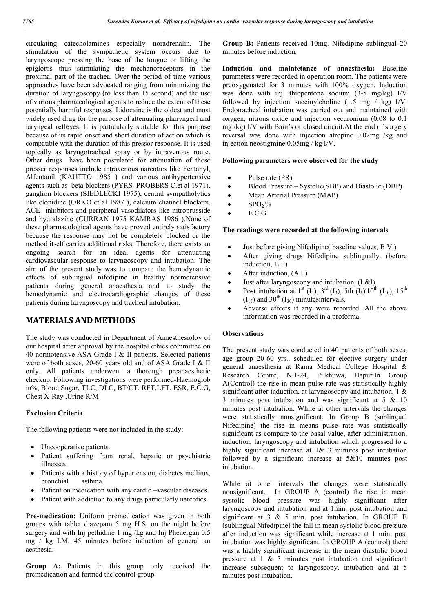circulating catecholamines especially noradrenalin. The stimulation of the sympathetic system occurs due to laryngoscope pressing the base of the tongue or lifting the epiglottis thus stimulating the mechanoreceptors in the proximal part of the trachea. Over the period of time various approaches have been advocated ranging from minimizing the duration of laryngoscopy (to less than 15 second) and the use of various pharmacological agents to reduce the extent of these potentially harmful responses. Lidocaine is the oldest and most widely used drug for the purpose of attenuating pharyngeal and laryngeal reflexes. It is particularly suitable for this purpose because of its rapid onset and short duration of action which is compatible with the duration of this pressor response. It is used topically as laryngotracheal spray or by intravenous route. Other drugs have been postulated for attenuation of these presser responses include intravenous narcotics like Fentanyl, Alfentanil (KAUTTO 1985 ) and various antihypertensive agents such as beta blockers (PYRS PROBERS C.et al 1971), ganglion blockers (SIEDLECKI 1975), central sympatholytics like clonidine (ORKO ct al 1987 ), calcium channel blockers, ACE inhibitors and peripheral vasodilators like nitroprusside and hydralazine (CURRAN 1975 KAMRAS 1986 ).None of these pharmacological agents have proved entirely satisfactory because the response may not be completely blocked or the method itself carries additional risks. Therefore, there exists an ongoing search for an ideal agents for attenuating cardiovascular response to laryngoscopy and intubation. The aim of the present study was to compare the hemodynamic effects of sublingual nifedipine in healthy normotensive patients during general anaesthesia and to study the hemodynamic and electrocardiographic changes of these patients during laryngoscopy and tracheal intubation.

## **MATERIALS AND METHODS**

The study was conducted in Department of Anaesthesioloy of our hospital after approval by the hospital ethics committee on 40 normotensive ASA Grade I & II patients. Selected patients were of both sexes, 20-60 years old and of ASA Grade I & II only. All patients underwent a thorough preanaesthetic checkup. Following investigations were performed-Haemoglob in%, Blood Sugar, TLC, DLC, BT/CT, RFT,LFT, ESR, E.C.G, Chest X-Ray ,Urine R/M

### **Exclusion Criteria**

The following patients were not included in the study:

- Uncooperative patients.
- Patient suffering from renal, hepatic or psychiatric illnesses.
- Patients with a history of hypertension, diabetes mellitus, bronchial asthma.
- Patient on medication with any cardio –vascular diseases.
- Patient with addiction to any drugs particularly narcotics.

**Pre-medication:** Uniform premedication was given in both groups with tablet diazepam 5 mg H.S. on the night before surgery and with Inj pethidine 1 mg /kg and Inj Phenergan 0.5 mg / kg I.M. 45 minutes before induction of general an aesthesia.

**Group A:** Patients in this group only received the premedication and formed the control group.

**Group B:** Patients received 10mg. Nifedipine sublingual 20 minutes before induction.

**Induction and maintetance of anaesthesia:** Baseline parameters were recorded in operation room. The patients were preoxygenated for 3 minutes with 100% oxygen. Induction was done with inj. thiopentone sodium  $(3-5 \text{ mg/kg})$  I/V followed by injection succinvlcholine  $(1.5 \text{ mg} / \text{kg})$  I/V. Endotracheal intubation was carried out and maintained with oxygen, nitrous oxide and injection vecuronium (0.08 to 0.1 mg /kg) I/V with Bain's or closed circuit.At the end of surgery reversal was done with injection atropine 0.02mg /kg and injection neostigmine 0.05mg / kg I/V.

#### **Following parameters were observed for the study**

- Pulse rate (PR)
- Blood Pressure Systolic(SBP) and Diastolic (DBP)
- Mean Arterial Pressure (MAP)
- $SPO<sub>2</sub>$ %
- E.C.G

#### **The readings were recorded at the following intervals**

- Just before giving Nifedipine( baseline values, B.V.)
- After giving drugs Nifedipine sublingually. (before induction, B.I.)
- After induction, (A.I.)
- Just after laryngoscopy and intubation, (L&I)
- Post intubation at  $1^{st}$  (I<sub>1</sub>),  $3^{rd}$  (I<sub>3</sub>), 5th (I<sub>5</sub>)'10<sup>th</sup> (I<sub>10</sub>), 15<sup>th</sup>  $(I_{15})$  and 30<sup>th</sup>  $(I_{30})$  minutesintervals.
- Adverse effects if any were recorded. All the above information was recorded in a proforma.

#### **Observations**

The present study was conducted in 40 patients of both sexes, age group 20-60 yrs., scheduled for elective surgery under general anaesthesia at Rama Medical College Hospital & Research Centre, NH-24, Pilkhuwa, Hapur.In Group A(Control) the rise in mean pulse rate was statistically highly significant after induction, at laryngoscopy and intubation, 1 & 3 minutes post intubation and was significant at 5 & 10 minutes post intubation. While at other intervals the changes were statistically nonsignificant. In Group B (sublingual Nifedipine) the rise in means pulse rate was statistically significant as compare to the basal value, after administration, induction, laryngoscopy and intubation which progressed to a highly significant increase at  $1& 3$  minutes post intubation followed by a significant increase at 5&10 minutes post intubation.

While at other intervals the changes were statistically nonsignificant. In GROUP A (control) the rise in mean systolic blood pressure was highly significant after laryngoscopy and intubation and at 1min. post intubation and significant at 3 & 5 min. post intubation. In GROUP B (sublingual Nifedipine) the fall in mean systolic blood pressure after induction was significant while increase at 1 min. post intubation was highly significant. In GROUP A (control) there was a highly significant increase in the mean diastolic blood pressure at 1 & 3 minutes post intubation and significant increase subsequent to laryngoscopy, intubation and at 5 minutes post intubation.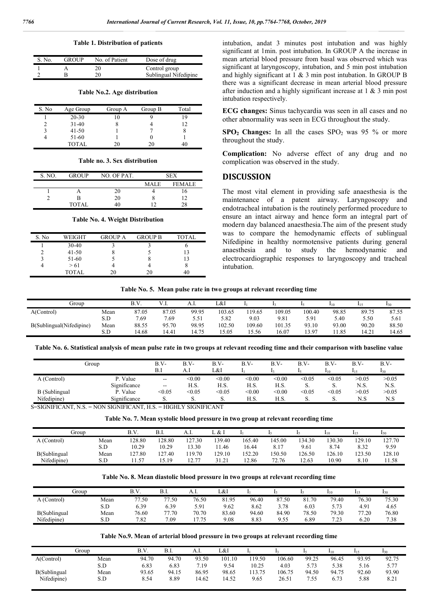#### **Table 1. Distribution of patients**

| S. No. | <b>GROUP</b> | No. of Patient | Dose of drug          |
|--------|--------------|----------------|-----------------------|
|        |              |                | Control group         |
|        |              | 20             | Sublingual Nifedipine |

**Table No.2. Age distribution**

| S. No | Age Group | Group A | Group B | Total |
|-------|-----------|---------|---------|-------|
|       | $20 - 30$ |         |         |       |
|       | $31-40$   |         |         |       |
|       | $41 - 50$ |         |         |       |
|       | 51-60     |         |         |       |
|       | TOTAL     |         | 20      |       |

| Table no. 3. Sex distribution |  |
|-------------------------------|--|
|-------------------------------|--|

| S. NO. | <b>GROUP</b> | NO. OF PAT. | <b>SEX</b> |               |  |  |
|--------|--------------|-------------|------------|---------------|--|--|
|        |              |             | MAI F      | <b>FFMAIF</b> |  |  |
|        |              |             |            |               |  |  |
|        | в            |             |            |               |  |  |
|        | TOTAL.       |             |            | 28            |  |  |

**Table No. 4. Weight Distribution**

| S. No | WEIGHT    | <b>GROUP A</b> | <b>GROUP B</b> | TOTAL |
|-------|-----------|----------------|----------------|-------|
|       | $30-40$   |                |                |       |
|       | $41 - 50$ |                |                | 13    |
|       | 51-60     |                |                | 13    |
|       | > 61      |                |                |       |
|       | TOTAL.    | 20             | 20             |       |

intubation, andat 3 minutes post intubation and was highly significant at 1min. post intubation. In GROUP A the increase in mean arterial blood pressure from basal was observed which was significant at laryngoscopy, intubation, and 5 min post intubation and highly significant at 1 & 3 min post intubation. In GROUP B there was a significant decrease in mean arterial blood pressure after induction and a highly significant increase at 1 & 3 min post intubation respectively.

**ECG changes:** Sinus tachycardia was seen in all cases and no other abnormality was seen in ECG throughout the study.

 $SPO<sub>2</sub> Changes: In all the cases  $SDO<sub>2</sub>$  was 95 % or more$ throughout the study.

**Complication:** No adverse effect of any drug and no complication was observed in the study.

#### **DISCUSSION**

The most vital element in providing safe anaesthesia is the maintenance of a patent airway. Laryngoscopy and endotracheal intubation is the routinely performed procedure to ensure an intact airway and hence form an integral part of modern day balanced anaesthesia.The aim of the present study was to compare the hemodynamic effects of sublingual Nifedipine in healthy normotensive patients during general anaesthesia and to study the hemodynamic and electrocardiographic responses to laryngoscopy and tracheal intubation.

**Table No. 5. Mean pulse rate in two groups at relevant recording time**

| Group                    |      | B.۱   | .     | A.I   | L&I    |        |        |        | 110   |       | 130   |
|--------------------------|------|-------|-------|-------|--------|--------|--------|--------|-------|-------|-------|
| A(Control)               | Mean | 87.05 | 87.05 | 99.95 | 103.65 | 119.65 | 109.05 | 100.40 | 98.85 | 89.75 | 87.55 |
|                          | S.D  | 7.69  | 7.69  | 5.51  | 5.82   | 9.03   | 9.81   | 5.91   | 5.40  | 5.50  | 5.61  |
| B(Sublingual(Nifedipine) | Mean | 88.55 | 95.70 | 98.95 | 102.50 | 109.60 | 101.35 | 93.10  | 93.00 | 90.20 | 88.50 |
|                          | S.D  | 14.68 | 14.41 | 14.75 | 15.05  | .5.56  | 16.07  | 3.97   | 1.85  | .4.21 | 14.65 |

**Table No. 6. Statistical analysis of mean pulse rate in two groups at relevant recoding time and their comparison with baseline value**

| Group                |              | B.V-          | B.V-   | B.V-   | B.V-   | B.V-   | $B.V-$ | B.V-     | $B.V-$ | $B.V-$ |
|----------------------|--------------|---------------|--------|--------|--------|--------|--------|----------|--------|--------|
|                      |              | B.l           | A.l    | L&I    |        |        |        | 110      | 115    | 130    |
| A (Control)          | P. Value     | $\sim$ $-$    | < 0.00 | < 0.00 | < 0.00 | < 0.00 | < 0.05 | $<$ 0.05 | >0.05  | >0.05  |
|                      | Significance | $\sim$ $\sim$ | H.S.   | H.S.   | H.S.   | H.S.   | υ.     | D.       | N.S.   | N.S.   |
| <b>B</b> (Sublingual | P. Value     | < 0.05        | < 0.05 | < 0.05 | < 0.00 | < 0.00 | < 0.05 | < 0.05   | >0.05  | >0.05  |
| Nifedipine)          | Significance | D.            | s.     | S.     | H.S.   | H.S.   | υ.     | J.       | N.S    | N.S    |

S=SIGNIFICANT, N.S. = NON SIGNIFICANT, H.S. = HIGHLY SIGNIFICANT

**Table No. 7. Mean systolic blood pressure in two group at relevant recording time**

|              | Group | B.V    | B.I.  | A.I.  | L & I  |        |        |        | 110    | 115   | 13 <sub>0</sub> |
|--------------|-------|--------|-------|-------|--------|--------|--------|--------|--------|-------|-----------------|
| A (Control)  | Mean  | 128.80 | 28.80 | 27.30 | 139.40 | 165.40 | 145.00 | 134.30 | 130.30 | 29.10 | 127.70          |
|              | S.D   | 10.29  | 10.29 | 3.30  | 1.46   | 16.44  | 8.17   | 9.61   | 8.74   | 8.32  | 9.59            |
| B(Sublingual | Mean  | 127.80 | 27.40 | 19.70 | 129.10 | 152.20 | 150.50 | 126.50 | 126.10 | 23.50 | 128.10          |
| Nifedipine)  | S.D   | 1.57ء  | 15.19 | 27    | 31.21  | 12.86  | 72.76  | 12.63  | 10.90  | 8.10  | 11.58           |

**Table No. 8. Mean diastolic blood pressure in two groups at relevant recording time**

|              | Group | B.V   | B.I.  | A.I.  | L&l   |       |       |       | 110   |       | 130   |
|--------------|-------|-------|-------|-------|-------|-------|-------|-------|-------|-------|-------|
| A (Control)  | Mean  | 77.50 | 77.50 | 76.50 | 81.95 | 96.40 | 87.50 | 81.70 | 79.40 | 76.30 | 75.30 |
|              | S.D   | 6.39  | 6.39  | 5.91  | 9.62  | 8.62  | 3.78  | 6.03  | 5.73  | 4.91  | 4.65  |
| B(Sublingual | Mean  | 76.60 | 77.70 | 70.70 | 83.60 | 94.60 | 84.90 | 78.50 | 79.30 | 77.20 | 76.80 |
| Nifedipine)  | S.D   | 7.82  | 7.09  | 775   | 9.08  | 8.83  | 9.55  | 6.89  | 7.23  | 6.20  | 7.38  |

#### **Table No.9. Mean of arterial blood pressure in two groups at relevant recording time**

|              | Group | B.V.  | B.I.  | A.I.  | L&I    |       |        |       | $1_{10}$ | 115   |       |
|--------------|-------|-------|-------|-------|--------|-------|--------|-------|----------|-------|-------|
| A(Control)   | Mean  | 94.70 | 94.70 | 93.50 | 101.10 | 19.50 | 106.60 | 99.25 | 96.45    | 93.95 | 92.75 |
|              | S.D   | 6.83  | 6.83  | 7.19  | 9.54   | 10.25 | 4.03   | 5.73  | 5.38     | 5.16  | 5.77  |
| B(Sublingual | Mean  | 93.65 | 94.15 | 86.95 | 98.65  | 13.75 | 106.75 | 94.50 | 94.75    | 92.60 | 93.90 |
| Nifedipine)  | S.D   | 8.54  | 8.89  | 4.62  | 14.52  | 9.65  | 26.51  | .55   | 6.73     | 5.88  | 8.21  |
|              |       |       |       |       |        |       |        |       |          |       |       |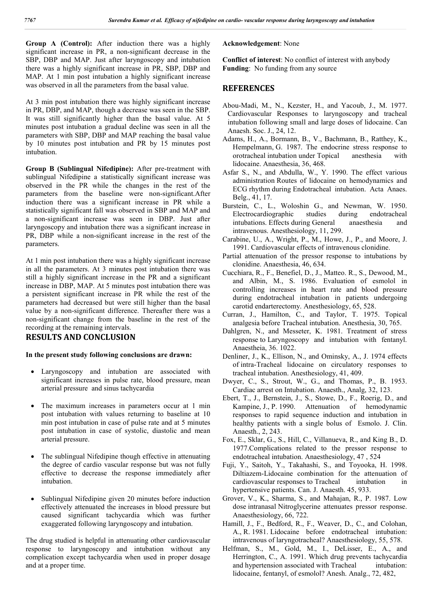**Group A (Control):** After induction there was a highly significant increase in PR, a non-significant decrease in the SBP, DBP and MAP. Just after laryngoscopy and intubation there was a highly significant increase in PR, SBP, DBP and MAP. At 1 min post intubation a highly significant increase was observed in all the parameters from the basal value.

At 3 min post intubation there was highly significant increase in PR, DBP, and MAP, though a decrease was seen in the SBP. It was still significantly higher than the basal value. At 5 minutes post intubation a gradual decline was seen in all the parameters with SBP, DBP and MAP reaching the basal value by 10 minutes post intubation and PR by 15 minutes post intubation.

**Group B (Sublingual Nifedipine):** After pre-treatment with sublingual Nifedipine a statistically significant increase was observed in the PR while the changes in the rest of the parameters from the baseline were non-significant.After induction there was a significant increase in PR while a statistically significant fall was observed in SBP and MAP and a non-significant increase was seen in DBP. Just after laryngoscopy and intubation there was a significant increase in PR, DBP while a non-significant increase in the rest of the parameters.

At 1 min post intubation there was a highly significant increase in all the parameters. At 3 minutes post intubation there was still a highly significant increase in the PR and a significant increase in DBP, MAP. At 5 minutes post intubation there was a persistent significant increase in PR while the rest of the parameters had decreased but were still higher than the basal value by a non-significant difference. Thereafter there was a non-significant change from the baseline in the rest of the recording at the remaining intervals.

## **RESULTS AND CONCLUSION**

#### **In the present study following conclusions are drawn:**

- Laryngoscopy and intubation are associated with significant increases in pulse rate, blood pressure, mean arterial pressure and sinus tachycardia
- The maximum increases in parameters occur at 1 min post intubation with values returning to baseline at 10 min post intubation in case of pulse rate and at 5 minutes post intubation in case of systolic, diastolic and mean arterial pressure.
- The sublingual Nifedipine though effective in attenuating the degree of cardio vascular response but was not fully effective to decrease the response immediately after intubation.
- Sublingual Nifedipine given 20 minutes before induction effectively attenuated the increases in blood pressure but caused significant tachycardia which was further exaggerated following laryngoscopy and intubation.

The drug studied is helpful in attenuating other cardiovascular response to laryngoscopy and intubation without any complication except tachycardia when used in proper dosage and at a proper time.

#### **Acknowledgement**: None

**Conflict of interest**: No conflict of interest with anybody **Funding**: No funding from any source

## **REFERENCES**

- Abou-Madi, M., N., Kezster, H., and Yacoub, J., M. 1977. Cardiovascular Responses to laryngoscopy and tracheal intubation following small and large doses of lidocaine. Can Anaesh. Soc. J., 24, 12.
- Adams, H., A., Bormann, B., V., Bachmann, B., Ratthey, K., Hempelmann, G. 1987. The endocrine stress response to orotracheal intubation under Topical anesthesia with lidocaine. Anaesthesia, 36, 468.
- Asfar S., N., and Abdulla, W., Y. 1990. The effect various administration Routes of lidocaine on hemodynamics and ECG rhythm during Endotracheal intubation. Acta Anaes. Belg., 41, 17.
- Burstein, C., L., Woloshin G., and Newman, W. 1950. Electrocardiographic studies during endotracheal intubations. Effects during General anaesthesia and intravenous. Anesthesiology, 11, 299.
- Carabine, U., A., Wright, P., M., Howe, J., P., and Moore, J. 1991. Cardiovascular effects of intravenous clonidine.
- Partial attenuation of the pressor response to intubations by clonidine. Anaesthesia, 46, 634.
- Cucchiara, R., F., Benefiel, D., J., Matteo. R., S., Dewood, M., and Albin, M., S. 1986. Evaluation of esmolol in controlling increases in heart rate and blood pressure during endotracheal intubation in patients undergoing carotid endarterectomy. Anesthesiology, 65, 528.
- Curran, J., Hamilton, C., and Taylor, T. 1975. Topical analgesia before Tracheal intubation. Anesthesia, 30, 765.
- Dahlgren, N., and Messeter, K. 1981. Treatment of stress response to Laryngoscopy and intubation with fentanyl. Anaestheia, 36. 1022.
- Denliner, J., K., Ellison, N., and Ominsky, A., J. 1974 effects of intra-Tracheal lidocaine on circulatory responses to tracheal intubation. Anesthesiology, 41, 409.
- Dwyer, C., S., Strout, W., G., and Thomas, P., B. 1953. Cardiac arrest on Intubation. Anaesth., Analg, 32, 123.
- Ebert, T., J., Bernstein, J., S., Stowe, D., F., Roerig, D., and Kampine, J., P. 1990. Attenuation of hemodynamic responses to rapid sequence induction and intubation in healthy patients with a single bolus of Esmolo. J. Clin. Anaesth., 2, 243.
- Fox, E., Sklar, G., S., Hill, C., Villanueva, R., and King B., D. 1977.Complications related to the pressor response to endotracheal intubation. Anaesthesiology, 47 , 524
- Fuji, Y., Saitoh, Y., Takahashi, S., and Toyooka, H. 1998. Diltiazem-Lidocaine combination for the attenuation of cardiovascular responses to Tracheal intubation in hypertensive patients. Can. J. Anaesth. 45, 933.
- Grover, V., K., Sharma, S., and Mahajan, R., P. 1987. Low dose intranasal Nitroglycerine attenuates pressor response. Anaesthesiology, 66, 722.
- Hamill, J., F., Bedford, R., F., Weaver, D., C., and Colohan, A., R. 1981. Lidocaine before endotracheal intubation: intravenous of laryngotracheal? Anaesthesiology, 55, 578.
- Helfman, S., M., Gold, M., I., DeLisser, E., A., and Herrington, C., A. 1991. Which drug prevents tachycardia and hypertension associated with Tracheal intubation: lidocaine, fentanyl, of esmolol? Anesh. Analg., 72, 482,